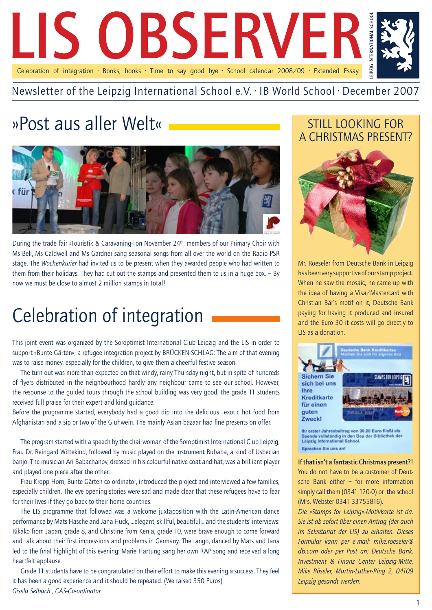

### Newsletter of the Leipzig International School e.V. · IB World School · December 2007

# »Post aus aller Welt«



During the trade fair »Touristik & Caravaning« on November 24<sup>th</sup>, members of our Primary Choir with Ms Bell, Ms Caldwell and Ms Gardner sang seasonal songs from all over the world on the Radio PSR stage. The *Wochenkurier* had invited us to be present when they awarded people who had written to them from their holidays. They had cut out the stamps and presented them to us in a huge box. – By now we must be close to almost 2 million stamps in total!

# Celebration of integration

This joint event was organized by the Soroptimist International Club Leipzig and the LIS in order to support »Bunte Gärten«, a refugee integration project by BRÜCKEN-SCHLAG: The aim of that evening was to raise money, especially for the children, to give them a cheerful festive season.

The turn out was more than expected on that windy, rainy Thursday night, but in spite of hundreds of flyers distributed in the neighbourhood hardly any neighbour came to see our school. However, the response to the guided tours through the school building was very good, the grade 11 students received full praise for their expert and kind guidance.

Before the programme started, everybody had a good dip into the delicious exotic hot food from Afghanistan and a sip or two of the Glühwein. The mainly Asian bazaar had fine presents on offer.

The program started with a speech by the chairwoman of the Soroptimist International Club Leipzig, Frau Dr. Reingard Wittekind, followed by music played on the instrument Rubaba, a kind of Usbecian banjo. The musician Ari Babachanov, dressed in his colourful native coat and hat, was a brilliant player and played one piece after the other.

Frau Kropp-Horn, Bunte Gärten co-ordinator, introduced the project and interviewed a few families, especially children. The eye opening stories were sad and made clear that these refugees have to fear for their lives if they go back to their home countries.

The LIS programme that followed was a welcome juxtaposition with the Latin-American dance performance by Mats Hasche and Jana Huck, …elegant, skillful, beautiful… and the students' interviews: Rikako from Japan, grade 8, and Christine from Kenia, grade 10, were brave enough to come forward and talk about their first impressions and problems in Germany. The tango, danced by Mats and Jana led to the final highlight of this evening: Marie Hartung sang her own RAP song and received a long heartfelt applause.

Grade 11 students have to be congratulated on their effort to make this evening a success. They feel it has been a good experience and it should be repeated. (We raised 350 Euros) *Gisela Selbach , CAS-Co-ordinator*

## Still looking for a Christmas present?



Mr. Roeseler from Deutsche Bank in Leipzig has been very supportive of our stamp project. When he saw the mosaic, he came up with the idea of having a Visa/Mastercard with Christian Bär's motif on it, Deutsche Bank paying for having it produced and insured and the Euro 30 it costs will go directly to LIS as a donation.



ihr erster Jahresbeitrag von 30,00 Euro fließt als Spende vollständig in den Bau der Bibliothek der<br>Leipzig International School. Sprechen Sie uns ant

If that isn't a fantastic Christmas present?! You do not have to be a customer of Deutsche Bank either – for more information simply call them (0341 120-0) or the school (Mrs. Webster 0341 33755816).

*Die »Stamps for Leipzig«-Motivkarte ist da. Sie ist ab sofort über einen Antrag (der auch im Sekretariat der LIS) zu erhalten. Dieses Formular kann per e-mail: mike.roeseler@ db.com oder per Post an: Deutsche Bank, Investment & Finanz Center Leipzig-Mitte, Mike Röseler, Martin-Luther-Ring 2, 04109 Leipzig gesandt werden.*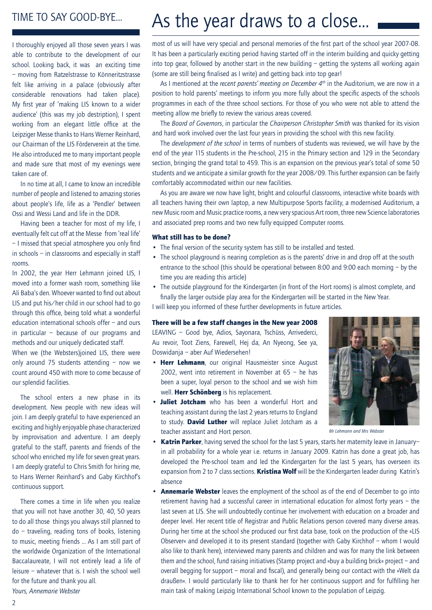### Time to say good-bye…

I thoroughly enjoyed all those seven years I was able to contribute to the development of our school. Looking back, it was an exciting time – moving from Ratzelstrasse to Könneritzstrasse felt like arriving in a palace (obviously after considerable renovations had taken place). My first year of 'making LIS known to a wider audience' (this was my job destription), I spent working from an elegant little office at the Leipziger Messe thanks to Hans Werner Reinhard, our Chairman of the LIS Förderverein at the time. He also introduced me to many important people and made sure that most of my evenings were taken care of.

In no time at all, I came to know an incredible number of people and listened to amazing stories about people's life, life as a 'Pendler' between Ossi and Wessi Land and life in the DDR.

Having been a teacher for most of my life, I eventually felt cut off at the Messe from 'real life' – I missed that special atmosphere you only find in schools – in classrooms and especially in staff rooms.

In 2002, the year Herr Lehmann joined LIS, I moved into a former wash room, something like Ali Baba's den. Whoever wanted to find out about LIS and put his/her child in our school had to go through this office, being told what a wonderful education international schools offer – and ours in particular – because of our programs and methods and our uniquely dedicated staff. When we (the Websters)joined LIS, there were only around 75 students attending – now we count around 450 with more to come because of our splendid facilities.

The school enters a new phase in its development. New people with new ideas will join. I am deeply grateful to have experienced an exciting and highly enjoyable phase characterized by improvisation and adventure. I am deeply grateful to the staff, parents and friends of the school who enriched my life for seven great years. I am deeply grateful to Chris Smith for hiring me, to Hans Werner Reinhard's and Gaby Kirchhof's continuous support.

There comes a time in life when you realize that you will not have another 30, 40, 50 years to do all those things you always still planned to do – traveling, reading tons of books, listening to music, meeting friends … As I am still part of the worldwide Organization of the International Baccalaureate, I will not entirely lead a life of leisure – whatever that is. I wish the school well for the future and thank you all. *Yours, Annemarie Webster*

# As the year draws to a close…

most of us will have very special and personal memories of the first part of the school year 2007-08. It has been a particularly exciting period having started off in the interim building and quicky getting into top gear, followed by another start in the new building – getting the systems all working again (some are still being finalised as I write) and getting back into top gear!

As I mentioned at the *recent parents' meeting on December 4th* in the Auditorium, we are now in a position to hold parents' meetings to inform you more fully about the specific aspects of the schools programmes in each of the three school sections. For those of you who were not able to attend the meeting allow me briefly to review the various areas covered.

The *Board of Governors*, in particular the *Chairperson Christopher Smith* was thanked for its vision and hard work involved over the last four years in providing the school with this new facility.

The *development of the school* in terms of numbers of students was reviewed, we will have by the end of the year 115 students in the Pre-school, 215 in the Primary section and 129 in the Secondary section, bringing the grand total to 459. This is an expansion on the previous year's total of some 50 students and we anticipate a similar growth for the year 2008/09. This further expansion can be fairly comfortably accommodated within our new facilities.

As you are aware we now have light, bright and colourful classrooms, interactive white boards with all teachers having their own laptop, a new Multipurpose Sports facility, a modernised Auditorium, a new Music room and Music practice rooms, a new very spacious Art room, three new Science laboratories and associated prep rooms and two new fully equipped Computer rooms.

#### What still has to be done?

- The final version of the security system has still to be installed and tested.
- The school playground is nearing completion as is the parents' drive in and drop off at the south entrance to the school (this should be operational between 8:00 and 9:00 each morning – by the time you are reading this article)
- The outside playground for the Kindergarten (in front of the Hort rooms) is almost complete, and finally the larger outside play area for the Kindergarten will be started in the New Year.

I will keep you informed of these further developments in future articles.

#### There will be a few staff changes in the New year 2008

Leaving – Good bye, Adios, Sayonara, Tschüss, Arrivederci, Au revoir, Toot Ziens, Farewell, Hej da, An Nyeong, See ya, Doswidanja – aber Auf Wiedersehen!

- Herr Lehmann, our original Hausmeister since August 2002, went into retirement in November at 65 – he has been a super, loyal person to the school and we wish him well. Herr Schönberg is his replacement.
- Juliet Jotcham who has been a wonderful Hort and teaching assistant during the last 2 years returns to England to study. David Luther will replace Juliet Jotcham as a teacher assistant and Hort person.



*Mr Lehmann and Mrs Webster*

- Katrin Parker, having served the school for the last 5 years, starts her maternity leave in Januaryin all probability for a whole year i.e. returns in January 2009. Katrin has done a great job, has developed the Pre-school team and led the Kindergarten for the last 5 years, has overseen its expansion from 2 to 7 class sections. Kristina Wolf will be the Kindergarten leader during Katrin's absence
- Annemarie Webster leaves the employment of the school as of the end of December to go into retirement having had a successful career in international education for almost forty years – the last seven at LIS. She will undoubtedly continue her involvement with education on a broader and deeper level. Her recent title of Registrar and Public Relations person covered many diverse areas. During her time at the school she produced our first data base, took on the production of the »LIS Observer« and developed it to its present standard (together with Gaby Kirchhof – whom I would also like to thank here), interviewed many parents and children and was for many the link between them and the school, fund raising initiatives (Stamp project and »buy a building brick« project – and overall begging for support – moral and fiscal), and generally being our contact with the »Welt da draußen«. I would particularly like to thank her for her continuous support and for fulfilling her main task of making Leipzig International School known to the population of Leipzig.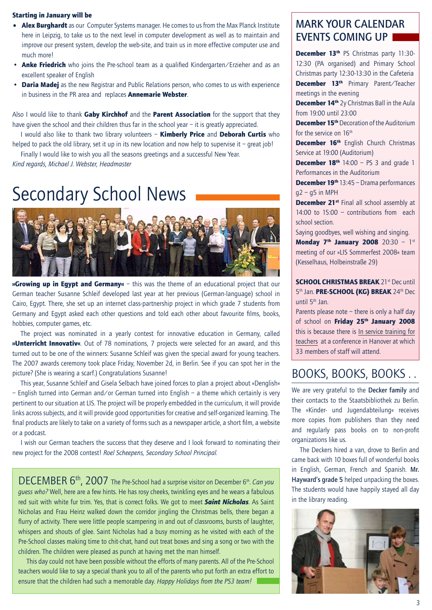#### Starting in January will be

- Alex Burghardt as our Computer Systems manager. He comes to us from the Max Planck Institute here in Leipzig, to take us to the next level in computer development as well as to maintain and improve our present system, develop the web-site, and train us in more effective computer use and much more!
- Anke Friedrich who joins the Pre-school team as a qualified Kindergarten/Erzieher and as an excellent speaker of English
- Daria Madej as the new Registrar and Public Relations person, who comes to us with experience in business in the PR area and replaces **Annemarie Webster**.

Also I would like to thank Gaby Kirchhof and the Parent Association for the support that they have given the school and their children thus far in the school year – it is greatly appreciated.

I would also like to thank two library volunteers - **Kimberly Price** and Deborah Curtis who helped to pack the old library, set it up in its new location and now help to supervise it – great  $[ob]$ 

Finally I would like to wish you all the seasons greetings and a successful New Year.

*Kind regards, Michael J. Webster, Headmaster*

# Secondary School News



**»Growing up in Egypt and Germany**«  $-$  this was the theme of an educational project that our German teacher Susanne Schleif developed last year at her previous (German-language) school in Cairo, Egypt. There, she set up an internet class-partnership project in which grade 7 students from Germany and Egypt asked each other questions and told each other about favourite films, books, hobbies, computer games, etc.

The project was nominated in a yearly contest for innovative education in Germany, called »Unterricht Innovativ«. Out of 78 nominations, 7 projects were selected for an award, and this turned out to be one of the winners: Susanne Schleif was given the special award for young teachers. The 2007 awards ceremony took place Friday, November 2d, in Berlin. See if you can spot her in the picture? (She is wearing a scarf.) Congratulations Susanne!

This year, Susanne Schleif and Gisela Selbach have joined forces to plan a project about »Denglish« – English turned into German and/or German turned into English – a theme which certainly is very pertinent to our situation at LIS. The project will be properly embedded in the curriculum, it will provide links across subjects, and it will provide good opportunities for creative and self-organized learning. The final products are likely to take on a variety of forms such as a newspaper article, a short film, a website or a podcast.

I wish our German teachers the success that they deserve and I look forward to nominating their new project for the 2008 contest! *Roel Scheepens, Secondary School Principal.*

DECEMBER 6th, 2007 The Pre-School had a surprise visitor on December 6th. *Can you guess who?* Well, here are a few hints. He has rosy cheeks, twinkling eyes and he wears a fabulous red suit with white fur trim. Yes, that is correct folks. We got to meet *Saint Nicholas*. As Saint Nicholas and Frau Heinz walked down the corridor jingling the Christmas bells, there began a flurry of activity. There were little people scampering in and out of classrooms, bursts of laughter, whispers and shouts of glee. Saint Nicholas had a busy morning as he visited with each of the Pre-School classes making time to chit-chat, hand out treat boxes and sing a song or two with the children. The children were pleased as punch at having met the man himself.

This day could not have been possible without the efforts of many parents. All of the Pre-School teachers would like to say a special thank you to all of the parents who put forth an extra effort to ensure that the children had such a memorable day. *Happy Holidays from the PS3 team!*

### MARK YOUR CALENDAR EVENTS COMING UP

December 13<sup>th</sup> PS Christmas party 11:30-12:30 (PA organised) and Primary School Christmas party 12:30-13:30 in the Cafeteria December 13<sup>th</sup> Primary Parent/Teacher meetings in the evening

December 14<sup>th</sup> 2y Christmas Ball in the Aula from 19:00 until 23:00

**December 15<sup>th</sup>** Decoration of the Auditorium for the service on 16th

December 16<sup>th</sup> English Church Christmas Service at 19:00 (Auditorium)

**December 18th** 14:00 – PS 3 and grade 1 Performances in the Auditorium

December 19<sup>th</sup> 13:45 – Drama performances  $q2 - q5$  in MPH

December 21<sup>st</sup> Final all school assembly at 14:00 to 15:00 – contributions from each school section.

Saying goodbyes, well wishing and singing.

Monday 7<sup>th</sup> January 2008 20:30 - 1st meeting of our »LIS Sommerfest 2008« team (Kesselhaus, Holbeinstraße 29)

SCHOOL CHRISTMAS BREAK 21st Dec until 5<sup>th</sup> Jan. PRE-SCHOOL (KG) BREAK 24<sup>th</sup> Dec until 5th Jan.

Parents please note – there is only a half day of school on Friday 25<sup>th</sup> January 2008 this is because there is In service training for teachers at a conference in Hanover at which 33 members of staff will attend.

## Books, books, books . .

We are very grateful to the Decker family and their contacts to the Staatsbibliothek zu Berlin. The »Kinder- und Jugendabteilung« receives more copies from publishers than they need and regularly pass books on to non-profit organizations like us.

The Deckers hired a van, drove to Berlin and came back with 10 boxes full of wonderful books in English, German, French and Spanish. Mr. Hayward's grade 5 helped unpacking the boxes. The students would have happily stayed all day in the library reading.